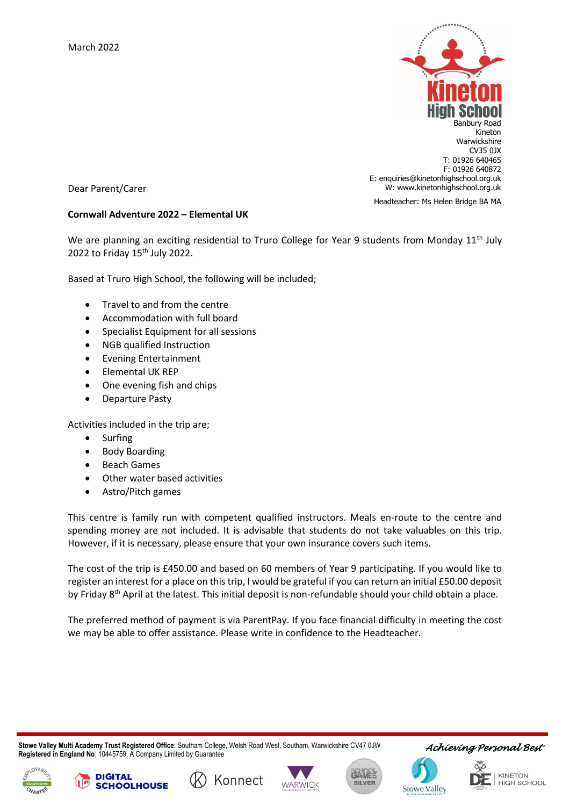

Headteacher: Ms Helen Bridge BA MA

Dear Parent/Carer

## **Cornwall Adventure 2022 – Elemental UK**

We are planning an exciting residential to Truro College for Year 9 students from Monday 11<sup>th</sup> July 2022 to Friday  $15<sup>th</sup>$  July 2022.

Based at Truro High School, the following will be included;

- Travel to and from the centre
- Accommodation with full board
- Specialist Equipment for all sessions
- NGB qualified Instruction
- Evening Entertainment
- Elemental UK REP
- One evening fish and chips
- Departure Pasty

Activities included in the trip are;

• Surfing

**DIGITAL** 

**SCHOOLHOUSE** 

- Body Boarding
- Beach Games
- Other water based activities
- Astro/Pitch games

This centre is family run with competent qualified instructors. Meals en-route to the centre and spending money are not included. It is advisable that students do not take valuables on this trip. However, if it is necessary, please ensure that your own insurance covers such items.

The cost of the trip is £450.00 and based on 60 members of Year 9 participating. If you would like to register an interest for a place on this trip, I would be grateful if you can return an initial £50.00 deposit by Friday 8<sup>th</sup> April at the latest. This initial deposit is non-refundable should your child obtain a place.

The preferred method of payment is via ParentPay. If you face financial difficulty in meeting the cost we may be able to offer assistance. Please write in confidence to the Headteacher.

 **Stowe Valley Multi Academy Trust Registered Office**: Southam College, Welsh Road West, Southam, Warwickshire CV47 0JW **Registered in England No**: 10445759. A Company Limited by Guarantee

Konnect